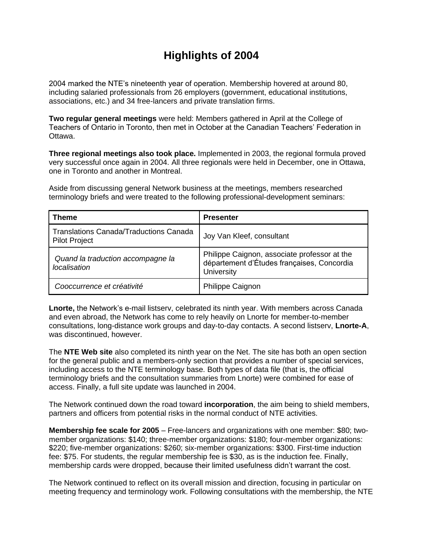## **Highlights of 2004**

2004 marked the NTE's nineteenth year of operation. Membership hovered at around 80, including salaried professionals from 26 employers (government, educational institutions, associations, etc.) and 34 free-lancers and private translation firms.

**Two regular general meetings** were held: Members gathered in April at the College of Teachers of Ontario in Toronto, then met in October at the Canadian Teachers' Federation in Ottawa.

**Three regional meetings also took place.** Implemented in 2003, the regional formula proved very successful once again in 2004. All three regionals were held in December, one in Ottawa, one in Toronto and another in Montreal.

Aside from discussing general Network business at the meetings, members researched terminology briefs and were treated to the following professional-development seminars:

| <b>Theme</b>                                                          | <b>Presenter</b>                                                                                         |
|-----------------------------------------------------------------------|----------------------------------------------------------------------------------------------------------|
| <b>Translations Canada/Traductions Canada</b><br><b>Pilot Project</b> | Joy Van Kleef, consultant                                                                                |
| Quand la traduction accompagne la<br>localisation                     | Philippe Caignon, associate professor at the<br>département d'Études françaises, Concordia<br>University |
| Cooccurrence et créativité                                            | Philippe Caignon                                                                                         |

**Lnorte,** the Network's e-mail listserv, celebrated its ninth year. With members across Canada and even abroad, the Network has come to rely heavily on Lnorte for member-to-member consultations, long-distance work groups and day-to-day contacts. A second listserv, **Lnorte-A**, was discontinued, however.

The **NTE Web site** also completed its ninth year on the Net. The site has both an open section for the general public and a members-only section that provides a number of special services, including access to the NTE terminology base. Both types of data file (that is, the official terminology briefs and the consultation summaries from Lnorte) were combined for ease of access. Finally, a full site update was launched in 2004.

The Network continued down the road toward **incorporation**, the aim being to shield members, partners and officers from potential risks in the normal conduct of NTE activities.

**Membership fee scale for 2005** – Free-lancers and organizations with one member: \$80; twomember organizations: \$140; three-member organizations: \$180; four-member organizations: \$220; five-member organizations: \$260; six-member organizations: \$300. First-time induction fee: \$75. For students, the regular membership fee is \$30, as is the induction fee. Finally, membership cards were dropped, because their limited usefulness didn't warrant the cost.

The Network continued to reflect on its overall mission and direction, focusing in particular on meeting frequency and terminology work. Following consultations with the membership, the NTE